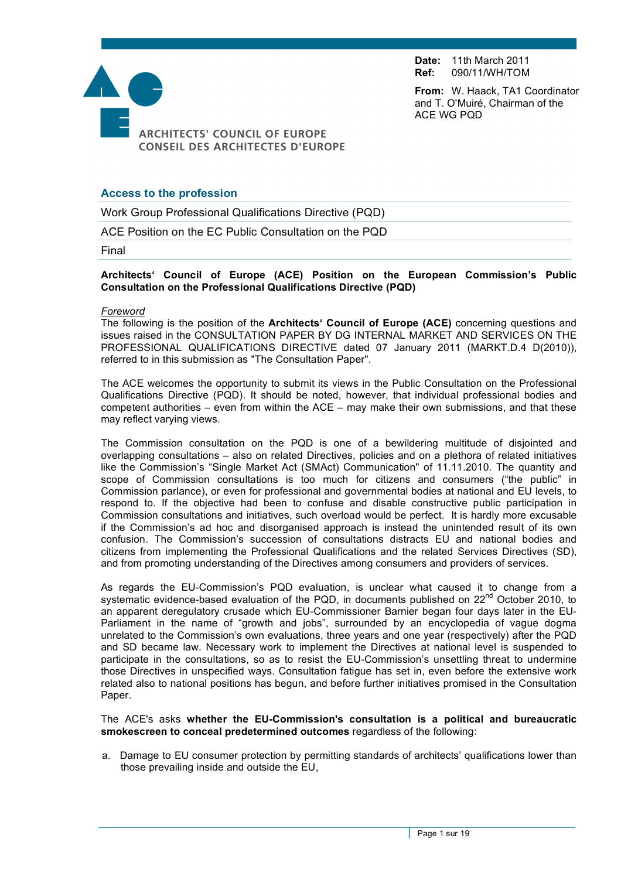**Date:** 11th March 2011 **Ref:** 090/11/WH/TOM

ACE WG PQD

**From:** W. Haack, TA1 Coordinator and T. O'Muiré, Chairman of the



# **Access to the profession**

Work Group Professional Qualifications Directive (PQD)

ACE Position on the EC Public Consultation on the PQD

Final

**Architects' Council of Europe (ACE) Position on the European Commission's Public Consultation on the Professional Qualifications Directive (PQD)**

#### *Foreword*

The following is the position of the **Architects' Council of Europe (ACE)** concerning questions and issues raised in the CONSULTATION PAPER BY DG INTERNAL MARKET AND SERVICES ON THE PROFESSIONAL QUALIFICATIONS DIRECTIVE dated 07 January 2011 (MARKT.D.4 D(2010)), referred to in this submission as "The Consultation Paper".

The ACE welcomes the opportunity to submit its views in the Public Consultation on the Professional Qualifications Directive (PQD). It should be noted, however, that individual professional bodies and competent authorities – even from within the ACE – may make their own submissions, and that these may reflect varying views.

The Commission consultation on the PQD is one of a bewildering multitude of disjointed and overlapping consultations – also on related Directives, policies and on a plethora of related initiatives like the Commission's "Single Market Act (SMAct) Communication" of 11.11.2010. The quantity and scope of Commission consultations is too much for citizens and consumers ("the public" in Commission parlance), or even for professional and governmental bodies at national and EU levels, to respond to. If the objective had been to confuse and disable constructive public participation in Commission consultations and initiatives, such overload would be perfect. It is hardly more excusable if the Commission's ad hoc and disorganised approach is instead the unintended result of its own confusion. The Commission's succession of consultations distracts EU and national bodies and citizens from implementing the Professional Qualifications and the related Services Directives (SD), and from promoting understanding of the Directives among consumers and providers of services.

As regards the EU-Commission's PQD evaluation, is unclear what caused it to change from a systematic evidence-based evaluation of the PQD, in documents published on 22<sup>nd</sup> October 2010, to an apparent deregulatory crusade which EU-Commissioner Barnier began four days later in the EU-Parliament in the name of "growth and jobs", surrounded by an encyclopedia of vague dogma unrelated to the Commission's own evaluations, three years and one year (respectively) after the PQD and SD became law. Necessary work to implement the Directives at national level is suspended to participate in the consultations, so as to resist the EU-Commission's unsettling threat to undermine those Directives in unspecified ways. Consultation fatigue has set in, even before the extensive work related also to national positions has begun, and before further initiatives promised in the Consultation Paper.

#### The ACE's asks **whether the EU-Commission's consultation is a political and bureaucratic smokescreen to conceal predetermined outcomes** regardless of the following:

a. Damage to EU consumer protection by permitting standards of architects' qualifications lower than those prevailing inside and outside the EU,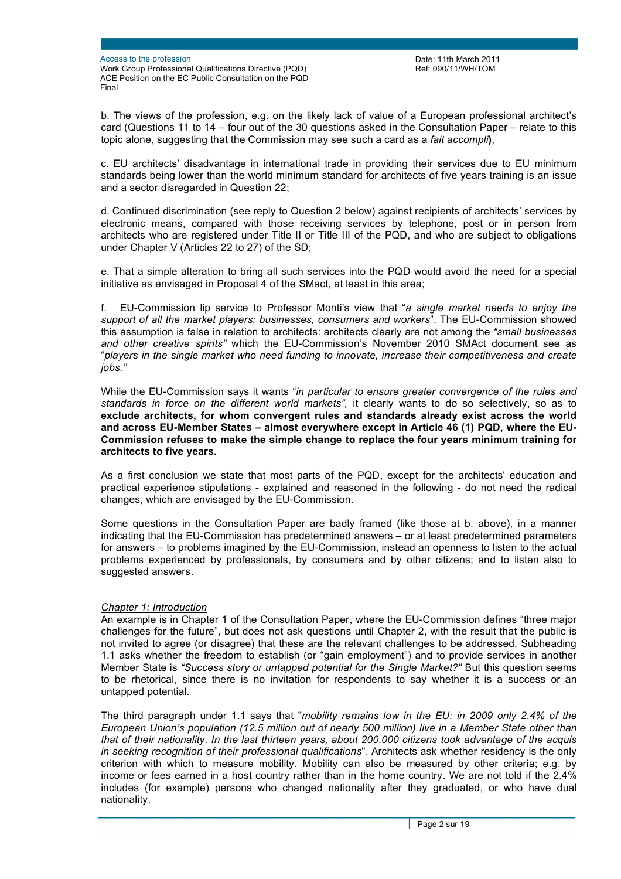Date: 11th March 2011 Ref: 090/11/WH/TOM

b. The views of the profession, e.g. on the likely lack of value of a European professional architect's card (Questions 11 to 14 – four out of the 30 questions asked in the Consultation Paper – relate to this topic alone, suggesting that the Commission may see such a card as a *fait accompli***)**,

c. EU architects' disadvantage in international trade in providing their services due to EU minimum standards being lower than the world minimum standard for architects of five years training is an issue and a sector disregarded in Question 22;

d. Continued discrimination (see reply to Question 2 below) against recipients of architects' services by electronic means, compared with those receiving services by telephone, post or in person from architects who are registered under Title II or Title III of the PQD, and who are subject to obligations under Chapter V (Articles 22 to 27) of the SD;

e. That a simple alteration to bring all such services into the PQD would avoid the need for a special initiative as envisaged in Proposal 4 of the SMact, at least in this area;

f. EU-Commission lip service to Professor Monti's view that "*a single market needs to enjoy the support of all the market players: businesses, consumers and workers*". The EU-Commission showed this assumption is false in relation to architects: architects clearly are not among the *"small businesses and other creative spirits"* which the EU-Commission's November 2010 SMAct document see as "*players in the single market who need funding to innovate, increase their competitiveness and create jobs."*

While the EU-Commission says it wants "*in particular to ensure greater convergence of the rules and standards in force on the different world markets",* it clearly wants to do so selectively, so as to **exclude architects, for whom convergent rules and standards already exist across the world and across EU-Member States – almost everywhere except in Article 46 (1) PQD, where the EU-Commission refuses to make the simple change to replace the four years minimum training for architects to five years.**

As a first conclusion we state that most parts of the PQD, except for the architects' education and practical experience stipulations - explained and reasoned in the following - do not need the radical changes, which are envisaged by the EU-Commission.

Some questions in the Consultation Paper are badly framed (like those at b. above), in a manner indicating that the EU-Commission has predetermined answers – or at least predetermined parameters for answers – to problems imagined by the EU-Commission, instead an openness to listen to the actual problems experienced by professionals, by consumers and by other citizens; and to listen also to suggested answers.

#### *Chapter 1: Introduction*

An example is in Chapter 1 of the Consultation Paper, where the EU-Commission defines "three major challenges for the future", but does not ask questions until Chapter 2, with the result that the public is not invited to agree (or disagree) that these are the relevant challenges to be addressed. Subheading 1.1 asks whether the freedom to establish (or "gain employment") and to provide services in another Member State is *"Success story or untapped potential for the Single Market?"* But this question seems to be rhetorical, since there is no invitation for respondents to say whether it is a success or an untapped potential.

The third paragraph under 1.1 says that "*mobility remains low in the EU: in 2009 only 2.4% of the European Union's population (12.5 million out of nearly 500 million) live in a Member State other than that of their nationality. In the last thirteen years, about 200.000 citizens took advantage of the acquis in seeking recognition of their professional qualifications*". Architects ask whether residency is the only criterion with which to measure mobility. Mobility can also be measured by other criteria; e.g. by income or fees earned in a host country rather than in the home country. We are not told if the 2.4% includes (for example) persons who changed nationality after they graduated, or who have dual nationality.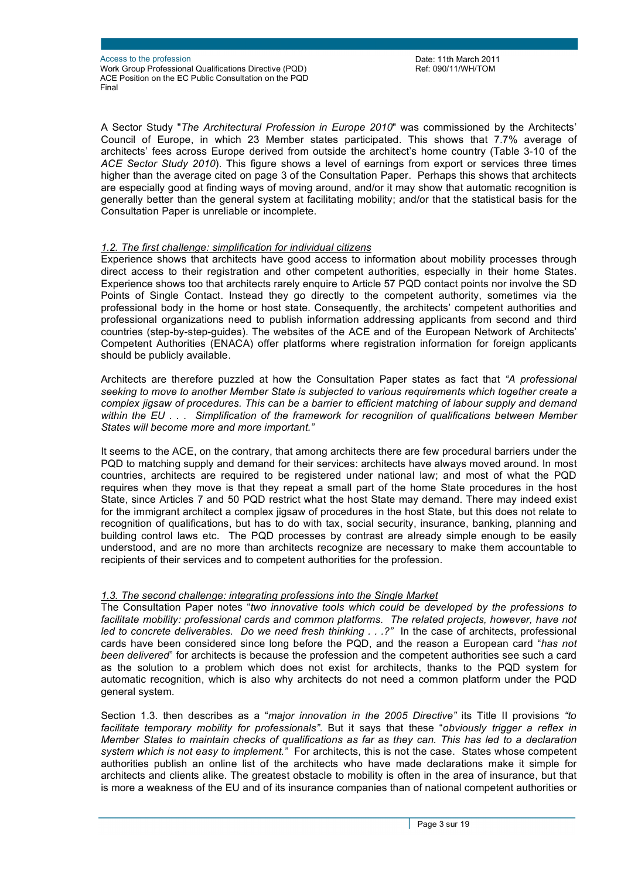A Sector Study "*The Architectural Profession in Europe 2010*" was commissioned by the Architects' Council of Europe, in which 23 Member states participated. This shows that 7.7% average of architects' fees across Europe derived from outside the architect's home country (Table 3-10 of the *ACE Sector Study 2010*). This figure shows a level of earnings from export or services three times higher than the average cited on page 3 of the Consultation Paper. Perhaps this shows that architects are especially good at finding ways of moving around, and/or it may show that automatic recognition is generally better than the general system at facilitating mobility; and/or that the statistical basis for the Consultation Paper is unreliable or incomplete.

### *1.2. The first challenge: simplification for individual citizens*

Experience shows that architects have good access to information about mobility processes through direct access to their registration and other competent authorities, especially in their home States. Experience shows too that architects rarely enquire to Article 57 PQD contact points nor involve the SD Points of Single Contact. Instead they go directly to the competent authority, sometimes via the professional body in the home or host state. Consequently, the architects' competent authorities and professional organizations need to publish information addressing applicants from second and third countries (step-by-step-guides). The websites of the ACE and of the European Network of Architects' Competent Authorities (ENACA) offer platforms where registration information for foreign applicants should be publicly available.

Architects are therefore puzzled at how the Consultation Paper states as fact that *"A professional seeking to move to another Member State is subjected to various requirements which together create a complex jigsaw of procedures. This can be a barrier to efficient matching of labour supply and demand within the EU . . . Simplification of the framework for recognition of qualifications between Member States will become more and more important."*

It seems to the ACE, on the contrary, that among architects there are few procedural barriers under the PQD to matching supply and demand for their services: architects have always moved around. In most countries, architects are required to be registered under national law; and most of what the PQD requires when they move is that they repeat a small part of the home State procedures in the host State, since Articles 7 and 50 PQD restrict what the host State may demand. There may indeed exist for the immigrant architect a complex jigsaw of procedures in the host State, but this does not relate to recognition of qualifications, but has to do with tax, social security, insurance, banking, planning and building control laws etc. The PQD processes by contrast are already simple enough to be easily understood, and are no more than architects recognize are necessary to make them accountable to recipients of their services and to competent authorities for the profession.

## *1.3. The second challenge: integrating professions into the Single Market*

The Consultation Paper notes "*two innovative tools which could be developed by the professions to*  facilitate mobility: professional cards and common platforms. The related projects, however, have not *led to concrete deliverables. Do we need fresh thinking . . .?"* In the case of architects, professional cards have been considered since long before the PQD, and the reason a European card "*has not been delivered*" for architects is because the profession and the competent authorities see such a card as the solution to a problem which does not exist for architects, thanks to the PQD system for automatic recognition, which is also why architects do not need a common platform under the PQD general system.

Section 1.3. then describes as a "*major innovation in the 2005 Directive"* its Title II provisions *"to facilitate temporary mobility for professionals".* But it says that these "*obviously trigger a reflex in Member States to maintain checks of qualifications as far as they can. This has led to a declaration system which is not easy to implement."* For architects, this is not the case. States whose competent authorities publish an online list of the architects who have made declarations make it simple for architects and clients alike. The greatest obstacle to mobility is often in the area of insurance, but that is more a weakness of the EU and of its insurance companies than of national competent authorities or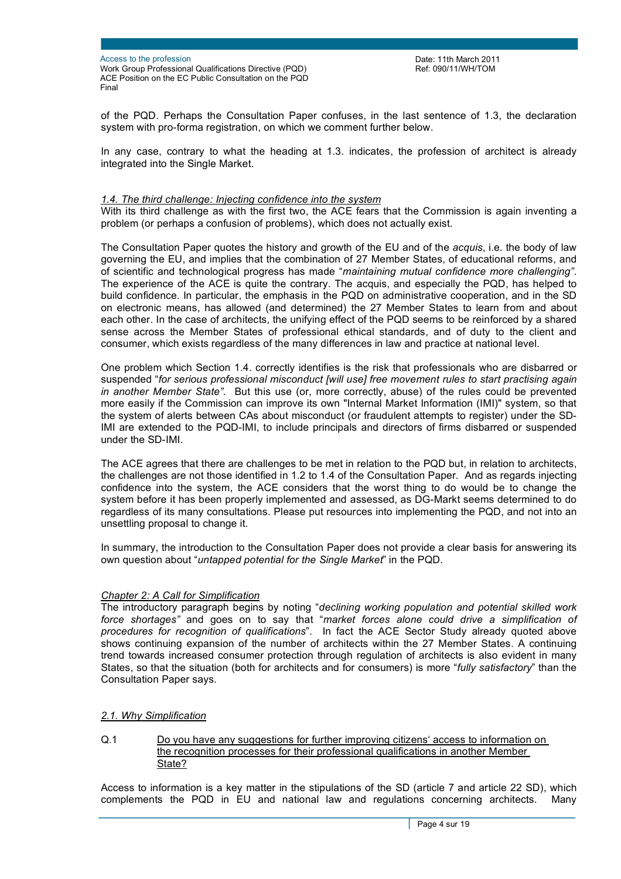Date: 11th March 2011 Ref: 090/11/WH/TOM

of the PQD. Perhaps the Consultation Paper confuses, in the last sentence of 1.3, the declaration system with pro-forma registration, on which we comment further below.

In any case, contrary to what the heading at 1.3. indicates, the profession of architect is already integrated into the Single Market.

#### *1.4. The third challenge: Injecting confidence into the system*

With its third challenge as with the first two, the ACE fears that the Commission is again inventing a problem (or perhaps a confusion of problems), which does not actually exist.

The Consultation Paper quotes the history and growth of the EU and of the *acquis*, i.e. the body of law governing the EU, and implies that the combination of 27 Member States, of educational reforms, and of scientific and technological progress has made "*maintaining mutual confidence more challenging"*. The experience of the ACE is quite the contrary. The acquis, and especially the PQD, has helped to build confidence. In particular, the emphasis in the PQD on administrative cooperation, and in the SD on electronic means, has allowed (and determined) the 27 Member States to learn from and about each other. In the case of architects, the unifying effect of the PQD seems to be reinforced by a shared sense across the Member States of professional ethical standards, and of duty to the client and consumer, which exists regardless of the many differences in law and practice at national level.

One problem which Section 1.4. correctly identifies is the risk that professionals who are disbarred or suspended "*for serious professional misconduct [will use] free movement rules to start practising again in another Member State".* But this use (or, more correctly, abuse) of the rules could be prevented more easily if the Commission can improve its own "Internal Market Information (IMI)" system, so that the system of alerts between CAs about misconduct (or fraudulent attempts to register) under the SD-IMI are extended to the PQD-IMI, to include principals and directors of firms disbarred or suspended under the SD-IMI.

The ACE agrees that there are challenges to be met in relation to the PQD but, in relation to architects, the challenges are not those identified in 1.2 to 1.4 of the Consultation Paper. And as regards injecting confidence into the system, the ACE considers that the worst thing to do would be to change the system before it has been properly implemented and assessed, as DG-Markt seems determined to do regardless of its many consultations. Please put resources into implementing the PQD, and not into an unsettling proposal to change it.

In summary, the introduction to the Consultation Paper does not provide a clear basis for answering its own question about "*untapped potential for the Single Market*" in the PQD.

#### *Chapter 2: A Call for Simplification*

The introductory paragraph begins by noting "*declining working population and potential skilled work force shortages"* and goes on to say that "*market forces alone could drive a simplification of procedures for recognition of qualifications*". In fact the ACE Sector Study already quoted above shows continuing expansion of the number of architects within the 27 Member States. A continuing trend towards increased consumer protection through regulation of architects is also evident in many States, so that the situation (both for architects and for consumers) is more "*fully satisfactory*" than the Consultation Paper says.

#### *2.1. Why Simplification*

Q.1 Do you have any suggestions for further improving citizens' access to information on the recognition processes for their professional qualifications in another Member State?

Access to information is a key matter in the stipulations of the SD (article 7 and article 22 SD), which complements the PQD in EU and national law and regulations concerning architects. Many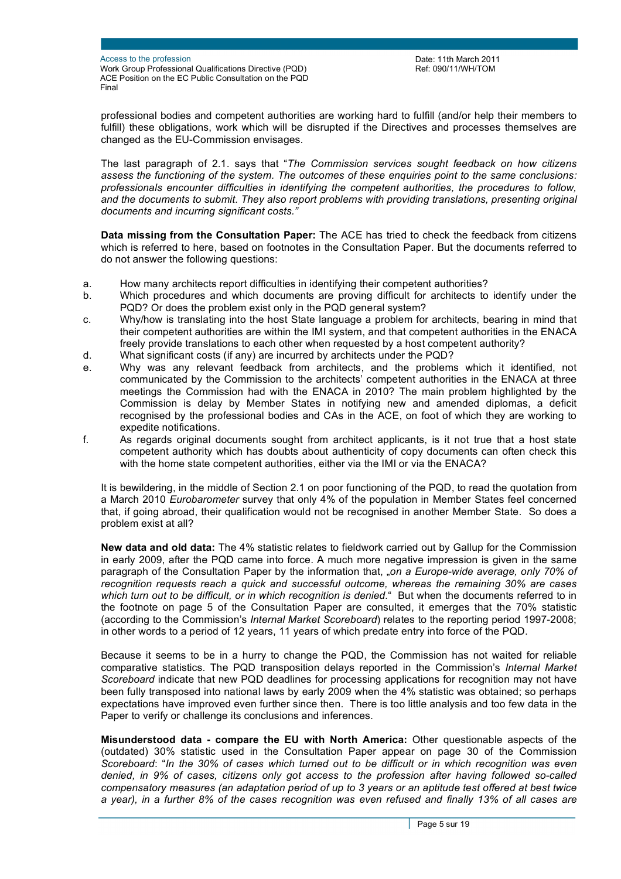Date: 11th March 2011 Ref: 090/11/WH/TOM

professional bodies and competent authorities are working hard to fulfill (and/or help their members to fulfill) these obligations, work which will be disrupted if the Directives and processes themselves are changed as the EU-Commission envisages.

The last paragraph of 2.1. says that "*The Commission services sought feedback on how citizens assess the functioning of the system. The outcomes of these enquiries point to the same conclusions: professionals encounter difficulties in identifying the competent authorities, the procedures to follow, and the documents to submit. They also report problems with providing translations, presenting original documents and incurring significant costs."*

**Data missing from the Consultation Paper:** The ACE has tried to check the feedback from citizens which is referred to here, based on footnotes in the Consultation Paper. But the documents referred to do not answer the following questions:

- a. How many architects report difficulties in identifying their competent authorities?
- b. Which procedures and which documents are proving difficult for architects to identify under the PQD? Or does the problem exist only in the PQD general system?
- c. Why/how is translating into the host State language a problem for architects, bearing in mind that their competent authorities are within the IMI system, and that competent authorities in the ENACA freely provide translations to each other when requested by a host competent authority?
- d. What significant costs (if any) are incurred by architects under the PQD?
- e. Why was any relevant feedback from architects, and the problems which it identified, not communicated by the Commission to the architects' competent authorities in the ENACA at three meetings the Commission had with the ENACA in 2010? The main problem highlighted by the Commission is delay by Member States in notifying new and amended diplomas, a deficit recognised by the professional bodies and CAs in the ACE, on foot of which they are working to expedite notifications.
- f. As regards original documents sought from architect applicants, is it not true that a host state competent authority which has doubts about authenticity of copy documents can often check this with the home state competent authorities, either via the IMI or via the ENACA?

It is bewildering, in the middle of Section 2.1 on poor functioning of the PQD, to read the quotation from a March 2010 *Eurobarometer* survey that only 4% of the population in Member States feel concerned that, if going abroad, their qualification would not be recognised in another Member State. So does a problem exist at all?

**New data and old data:** The 4% statistic relates to fieldwork carried out by Gallup for the Commission in early 2009, after the PQD came into force. A much more negative impression is given in the same paragraph of the Consultation Paper by the information that, "on a Europe-wide average, only 70% of *recognition requests reach a quick and successful outcome, whereas the remaining 30% are cases which turn out to be difficult, or in which recognition is denied.*" But when the documents referred to in the footnote on page 5 of the Consultation Paper are consulted, it emerges that the 70% statistic (according to the Commission's *Internal Market Scoreboard*) relates to the reporting period 1997-2008; in other words to a period of 12 years, 11 years of which predate entry into force of the PQD.

Because it seems to be in a hurry to change the PQD, the Commission has not waited for reliable comparative statistics. The PQD transposition delays reported in the Commission's *Internal Market Scoreboard* indicate that new PQD deadlines for processing applications for recognition may not have been fully transposed into national laws by early 2009 when the 4% statistic was obtained; so perhaps expectations have improved even further since then. There is too little analysis and too few data in the Paper to verify or challenge its conclusions and inferences.

**Misunderstood data - compare the EU with North America:** Other questionable aspects of the (outdated) 30% statistic used in the Consultation Paper appear on page 30 of the Commission *Scoreboard*: "*In the 30% of cases which turned out to be difficult or in which recognition was even denied, in 9% of cases, citizens only got access to the profession after having followed so-called compensatory measures (an adaptation period of up to 3 years or an aptitude test offered at best twice a year), in a further 8% of the cases recognition was even refused and finally 13% of all cases are*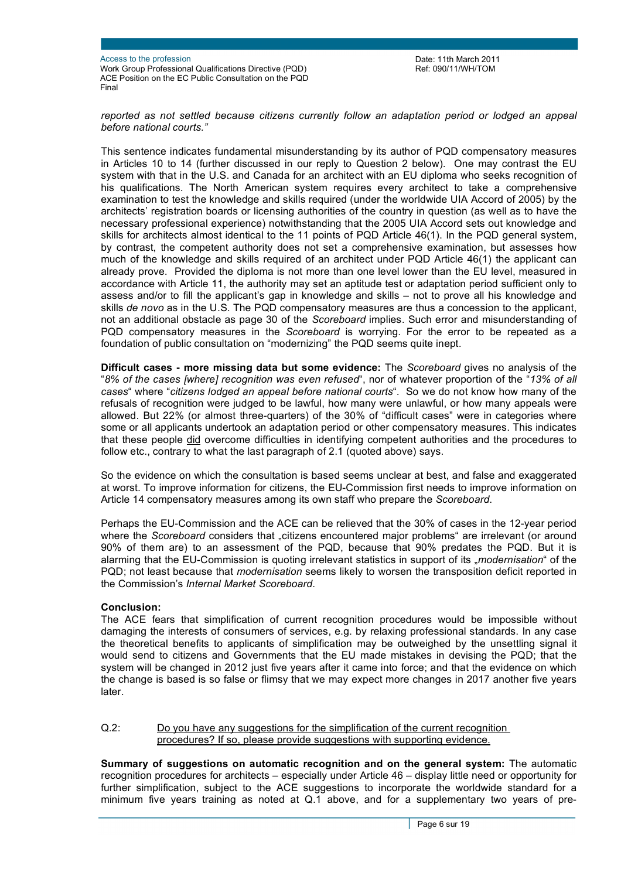Date: 11th March 2011 Ref: 090/11/WH/TOM

*reported as not settled because citizens currently follow an adaptation period or lodged an appeal before national courts."* 

This sentence indicates fundamental misunderstanding by its author of PQD compensatory measures in Articles 10 to 14 (further discussed in our reply to Question 2 below). One may contrast the EU system with that in the U.S. and Canada for an architect with an EU diploma who seeks recognition of his qualifications. The North American system requires every architect to take a comprehensive examination to test the knowledge and skills required (under the worldwide UIA Accord of 2005) by the architects' registration boards or licensing authorities of the country in question (as well as to have the necessary professional experience) notwithstanding that the 2005 UIA Accord sets out knowledge and skills for architects almost identical to the 11 points of PQD Article 46(1). In the PQD general system, by contrast, the competent authority does not set a comprehensive examination, but assesses how much of the knowledge and skills required of an architect under PQD Article 46(1) the applicant can already prove. Provided the diploma is not more than one level lower than the EU level, measured in accordance with Article 11, the authority may set an aptitude test or adaptation period sufficient only to assess and/or to fill the applicant's gap in knowledge and skills – not to prove all his knowledge and skills *de novo* as in the U.S. The PQD compensatory measures are thus a concession to the applicant, not an additional obstacle as page 30 of the *Scoreboard* implies. Such error and misunderstanding of PQD compensatory measures in the *Scoreboard* is worrying. For the error to be repeated as a foundation of public consultation on "modernizing" the PQD seems quite inept.

**Difficult cases - more missing data but some evidence:** The *Scoreboard* gives no analysis of the "*8% of the cases [where] recognition was even refused*", nor of whatever proportion of the "*13% of all cases*" where "*citizens lodged an appeal before national courts*". So we do not know how many of the refusals of recognition were judged to be lawful, how many were unlawful, or how many appeals were allowed. But 22% (or almost three-quarters) of the 30% of "difficult cases" were in categories where some or all applicants undertook an adaptation period or other compensatory measures. This indicates that these people did overcome difficulties in identifying competent authorities and the procedures to follow etc., contrary to what the last paragraph of 2.1 (quoted above) says.

So the evidence on which the consultation is based seems unclear at best, and false and exaggerated at worst. To improve information for citizens, the EU-Commission first needs to improve information on Article 14 compensatory measures among its own staff who prepare the *Scoreboard*.

Perhaps the EU-Commission and the ACE can be relieved that the 30% of cases in the 12-year period where the *Scoreboard* considers that *"citizens* encountered major problems" are irrelevant (or around 90% of them are) to an assessment of the PQD, because that 90% predates the PQD. But it is alarming that the EU-Commission is quoting irrelevant statistics in support of its "*modernisation*" of the PQD; not least because that *modernisation* seems likely to worsen the transposition deficit reported in the Commission's *Internal Market Scoreboard.* 

#### **Conclusion:**

The ACE fears that simplification of current recognition procedures would be impossible without damaging the interests of consumers of services, e.g. by relaxing professional standards. In any case the theoretical benefits to applicants of simplification may be outweighed by the unsettling signal it would send to citizens and Governments that the EU made mistakes in devising the PQD; that the system will be changed in 2012 just five years after it came into force; and that the evidence on which the change is based is so false or flimsy that we may expect more changes in 2017 another five years later.

Q.2: Do you have any suggestions for the simplification of the current recognition procedures? If so, please provide suggestions with supporting evidence.

**Summary of suggestions on automatic recognition and on the general system:** The automatic recognition procedures for architects – especially under Article 46 – display little need or opportunity for further simplification, subject to the ACE suggestions to incorporate the worldwide standard for a minimum five years training as noted at Q.1 above, and for a supplementary two years of pre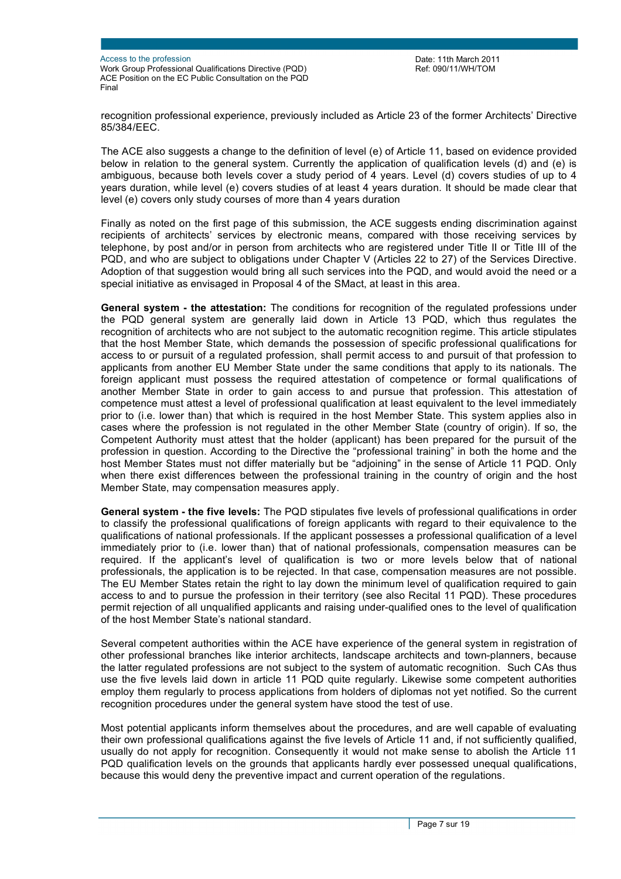Access to the profession

Work Group Professional Qualifications Directive (PQD) ACE Position on the EC Public Consultation on the PQD Final

Date: 11th March 2011 Ref: 090/11/WH/TOM

recognition professional experience, previously included as Article 23 of the former Architects' Directive 85/384/EEC.

The ACE also suggests a change to the definition of level (e) of Article 11, based on evidence provided below in relation to the general system. Currently the application of qualification levels (d) and (e) is ambiguous, because both levels cover a study period of 4 years. Level (d) covers studies of up to 4 years duration, while level (e) covers studies of at least 4 years duration. It should be made clear that level (e) covers only study courses of more than 4 years duration

Finally as noted on the first page of this submission, the ACE suggests ending discrimination against recipients of architects' services by electronic means, compared with those receiving services by telephone, by post and/or in person from architects who are registered under Title II or Title III of the PQD, and who are subject to obligations under Chapter V (Articles 22 to 27) of the Services Directive. Adoption of that suggestion would bring all such services into the PQD, and would avoid the need or a special initiative as envisaged in Proposal 4 of the SMact, at least in this area.

**General system - the attestation:** The conditions for recognition of the regulated professions under the PQD general system are generally laid down in Article 13 PQD, which thus regulates the recognition of architects who are not subject to the automatic recognition regime. This article stipulates that the host Member State, which demands the possession of specific professional qualifications for access to or pursuit of a regulated profession, shall permit access to and pursuit of that profession to applicants from another EU Member State under the same conditions that apply to its nationals. The foreign applicant must possess the required attestation of competence or formal qualifications of another Member State in order to gain access to and pursue that profession. This attestation of competence must attest a level of professional qualification at least equivalent to the level immediately prior to (i.e. lower than) that which is required in the host Member State. This system applies also in cases where the profession is not regulated in the other Member State (country of origin). If so, the Competent Authority must attest that the holder (applicant) has been prepared for the pursuit of the profession in question. According to the Directive the "professional training" in both the home and the host Member States must not differ materially but be "adjoining" in the sense of Article 11 PQD. Only when there exist differences between the professional training in the country of origin and the host Member State, may compensation measures apply.

**General system - the five levels:** The PQD stipulates five levels of professional qualifications in order to classify the professional qualifications of foreign applicants with regard to their equivalence to the qualifications of national professionals. If the applicant possesses a professional qualification of a level immediately prior to (i.e. lower than) that of national professionals, compensation measures can be required. If the applicant's level of qualification is two or more levels below that of national professionals, the application is to be rejected. In that case, compensation measures are not possible. The EU Member States retain the right to lay down the minimum level of qualification required to gain access to and to pursue the profession in their territory (see also Recital 11 PQD). These procedures permit rejection of all unqualified applicants and raising under-qualified ones to the level of qualification of the host Member State's national standard.

Several competent authorities within the ACE have experience of the general system in registration of other professional branches like interior architects, landscape architects and town-planners, because the latter regulated professions are not subject to the system of automatic recognition. Such CAs thus use the five levels laid down in article 11 PQD quite regularly. Likewise some competent authorities employ them regularly to process applications from holders of diplomas not yet notified. So the current recognition procedures under the general system have stood the test of use.

Most potential applicants inform themselves about the procedures, and are well capable of evaluating their own professional qualifications against the five levels of Article 11 and, if not sufficiently qualified, usually do not apply for recognition. Consequently it would not make sense to abolish the Article 11 PQD qualification levels on the grounds that applicants hardly ever possessed unequal qualifications, because this would deny the preventive impact and current operation of the regulations.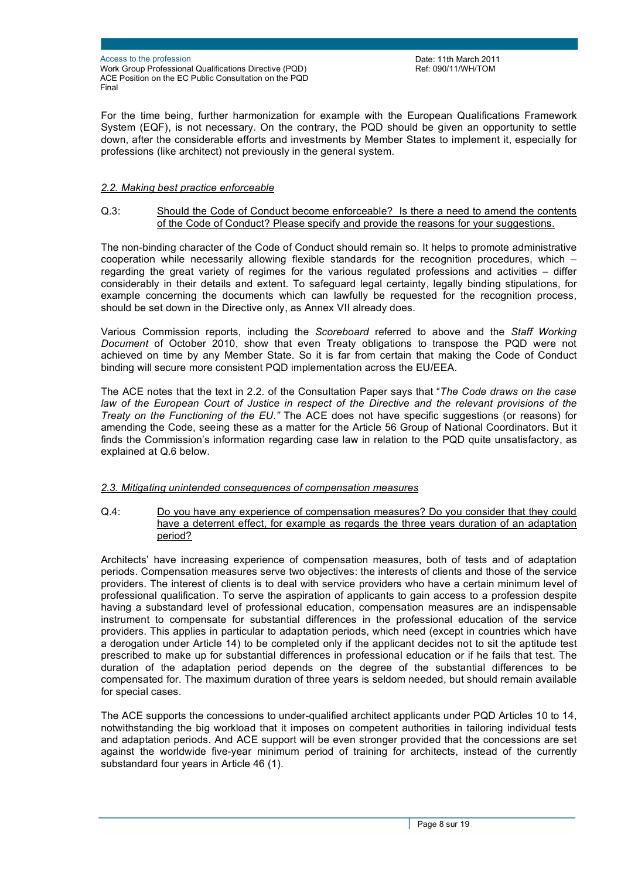Date: 11th March 2011 Ref: 090/11/WH/TOM

For the time being, further harmonization for example with the European Qualifications Framework System (EQF), is not necessary. On the contrary, the PQD should be given an opportunity to settle down, after the considerable efforts and investments by Member States to implement it, especially for professions (like architect) not previously in the general system.

### *2.2. Making best practice enforceable*

#### Q.3: Should the Code of Conduct become enforceable? Is there a need to amend the contents of the Code of Conduct? Please specify and provide the reasons for your suggestions.

The non-binding character of the Code of Conduct should remain so. It helps to promote administrative cooperation while necessarily allowing flexible standards for the recognition procedures, which – regarding the great variety of regimes for the various regulated professions and activities – differ considerably in their details and extent. To safeguard legal certainty, legally binding stipulations, for example concerning the documents which can lawfully be requested for the recognition process, should be set down in the Directive only, as Annex VII already does.

Various Commission reports, including the *Scoreboard* referred to above and the *Staff Working Document* of October 2010, show that even Treaty obligations to transpose the PQD were not achieved on time by any Member State. So it is far from certain that making the Code of Conduct binding will secure more consistent PQD implementation across the EU/EEA.

The ACE notes that the text in 2.2. of the Consultation Paper says that "*The Code draws on the case*  law of the European Court of Justice in respect of the Directive and the relevant provisions of the *Treaty on the Functioning of the EU."* The ACE does not have specific suggestions (or reasons) for amending the Code, seeing these as a matter for the Article 56 Group of National Coordinators. But it finds the Commission's information regarding case law in relation to the PQD quite unsatisfactory, as explained at Q.6 below.

#### *2.3. Mitigating unintended consequences of compensation measures*

Q.4: Do you have any experience of compensation measures? Do you consider that they could have a deterrent effect, for example as regards the three years duration of an adaptation period?

Architects' have increasing experience of compensation measures, both of tests and of adaptation periods. Compensation measures serve two objectives: the interests of clients and those of the service providers. The interest of clients is to deal with service providers who have a certain minimum level of professional qualification. To serve the aspiration of applicants to gain access to a profession despite having a substandard level of professional education, compensation measures are an indispensable instrument to compensate for substantial differences in the professional education of the service providers. This applies in particular to adaptation periods, which need (except in countries which have a derogation under Article 14) to be completed only if the applicant decides not to sit the aptitude test prescribed to make up for substantial differences in professional education or if he fails that test. The duration of the adaptation period depends on the degree of the substantial differences to be compensated for. The maximum duration of three years is seldom needed, but should remain available for special cases.

The ACE supports the concessions to under-qualified architect applicants under PQD Articles 10 to 14, notwithstanding the big workload that it imposes on competent authorities in tailoring individual tests and adaptation periods. And ACE support will be even stronger provided that the concessions are set against the worldwide five-year minimum period of training for architects, instead of the currently substandard four years in Article 46 (1).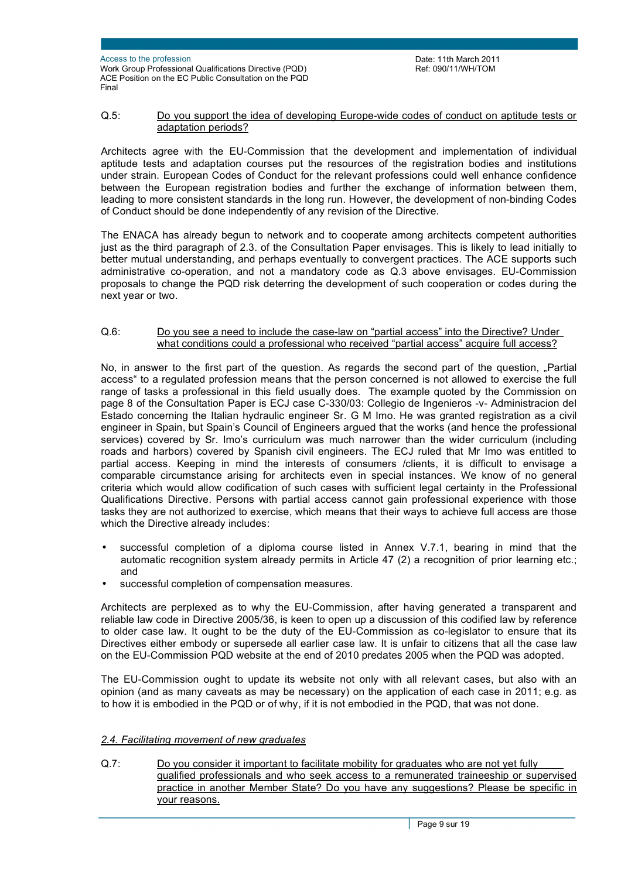#### Q.5: Do you support the idea of developing Europe-wide codes of conduct on aptitude tests or adaptation periods?

Architects agree with the EU-Commission that the development and implementation of individual aptitude tests and adaptation courses put the resources of the registration bodies and institutions under strain. European Codes of Conduct for the relevant professions could well enhance confidence between the European registration bodies and further the exchange of information between them, leading to more consistent standards in the long run. However, the development of non-binding Codes of Conduct should be done independently of any revision of the Directive.

The ENACA has already begun to network and to cooperate among architects competent authorities just as the third paragraph of 2.3. of the Consultation Paper envisages. This is likely to lead initially to better mutual understanding, and perhaps eventually to convergent practices. The ACE supports such administrative co-operation, and not a mandatory code as Q.3 above envisages. EU-Commission proposals to change the PQD risk deterring the development of such cooperation or codes during the next year or two.

### Q.6: Do you see a need to include the case-law on "partial access" into the Directive? Under what conditions could a professional who received "partial access" acquire full access?

No, in answer to the first part of the question. As regards the second part of the question, "Partial access" to a regulated profession means that the person concerned is not allowed to exercise the full range of tasks a professional in this field usually does. The example quoted by the Commission on page 8 of the Consultation Paper is ECJ case C-330/03: Collegio de Ingenieros -v- Administracion del Estado concerning the Italian hydraulic engineer Sr. G M Imo. He was granted registration as a civil engineer in Spain, but Spain's Council of Engineers argued that the works (and hence the professional services) covered by Sr. Imo's curriculum was much narrower than the wider curriculum (including roads and harbors) covered by Spanish civil engineers. The ECJ ruled that Mr Imo was entitled to partial access. Keeping in mind the interests of consumers /clients, it is difficult to envisage a comparable circumstance arising for architects even in special instances. We know of no general criteria which would allow codification of such cases with sufficient legal certainty in the Professional Qualifications Directive. Persons with partial access cannot gain professional experience with those tasks they are not authorized to exercise, which means that their ways to achieve full access are those which the Directive already includes:

- successful completion of a diploma course listed in Annex V.7.1, bearing in mind that the automatic recognition system already permits in Article 47 (2) a recognition of prior learning etc.; and
- successful completion of compensation measures.

Architects are perplexed as to why the EU-Commission, after having generated a transparent and reliable law code in Directive 2005/36, is keen to open up a discussion of this codified law by reference to older case law. It ought to be the duty of the EU-Commission as co-legislator to ensure that its Directives either embody or supersede all earlier case law. It is unfair to citizens that all the case law on the EU-Commission PQD website at the end of 2010 predates 2005 when the PQD was adopted.

The EU-Commission ought to update its website not only with all relevant cases, but also with an opinion (and as many caveats as may be necessary) on the application of each case in 2011; e.g. as to how it is embodied in the PQD or of why, if it is not embodied in the PQD, that was not done.

## *2.4. Facilitating movement of new graduates*

Q.7: Do you consider it important to facilitate mobility for graduates who are not yet fully qualified professionals and who seek access to a remunerated traineeship or supervised practice in another Member State? Do you have any suggestions? Please be specific in your reasons.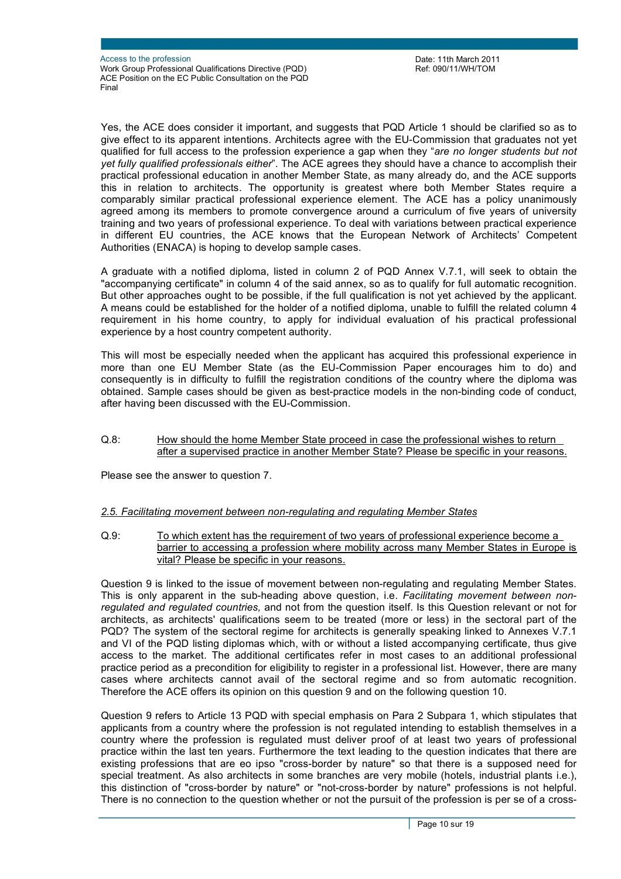Yes, the ACE does consider it important, and suggests that PQD Article 1 should be clarified so as to give effect to its apparent intentions. Architects agree with the EU-Commission that graduates not yet qualified for full access to the profession experience a gap when they "*are no longer students but not yet fully qualified professionals either*". The ACE agrees they should have a chance to accomplish their practical professional education in another Member State, as many already do, and the ACE supports this in relation to architects. The opportunity is greatest where both Member States require a comparably similar practical professional experience element. The ACE has a policy unanimously agreed among its members to promote convergence around a curriculum of five years of university training and two years of professional experience. To deal with variations between practical experience in different EU countries, the ACE knows that the European Network of Architects' Competent Authorities (ENACA) is hoping to develop sample cases.

A graduate with a notified diploma, listed in column 2 of PQD Annex V.7.1, will seek to obtain the "accompanying certificate" in column 4 of the said annex, so as to qualify for full automatic recognition. But other approaches ought to be possible, if the full qualification is not yet achieved by the applicant. A means could be established for the holder of a notified diploma, unable to fulfill the related column 4 requirement in his home country, to apply for individual evaluation of his practical professional experience by a host country competent authority.

This will most be especially needed when the applicant has acquired this professional experience in more than one EU Member State (as the EU-Commission Paper encourages him to do) and consequently is in difficulty to fulfill the registration conditions of the country where the diploma was obtained. Sample cases should be given as best-practice models in the non-binding code of conduct, after having been discussed with the EU-Commission.

#### Q.8: How should the home Member State proceed in case the professional wishes to return after a supervised practice in another Member State? Please be specific in your reasons.

Please see the answer to question 7.

## *2.5. Facilitating movement between non-regulating and regulating Member States*

Q.9: To which extent has the requirement of two years of professional experience become a barrier to accessing a profession where mobility across many Member States in Europe is vital? Please be specific in your reasons.

Question 9 is linked to the issue of movement between non-regulating and regulating Member States. This is only apparent in the sub-heading above question, i.e. *Facilitating movement between nonregulated and regulated countries,* and not from the question itself. Is this Question relevant or not for architects, as architects' qualifications seem to be treated (more or less) in the sectoral part of the PQD? The system of the sectoral regime for architects is generally speaking linked to Annexes V.7.1 and VI of the PQD listing diplomas which, with or without a listed accompanying certificate, thus give access to the market. The additional certificates refer in most cases to an additional professional practice period as a precondition for eligibility to register in a professional list. However, there are many cases where architects cannot avail of the sectoral regime and so from automatic recognition. Therefore the ACE offers its opinion on this question 9 and on the following question 10.

Question 9 refers to Article 13 PQD with special emphasis on Para 2 Subpara 1, which stipulates that applicants from a country where the profession is not regulated intending to establish themselves in a country where the profession is regulated must deliver proof of at least two years of professional practice within the last ten years. Furthermore the text leading to the question indicates that there are existing professions that are eo ipso "cross-border by nature" so that there is a supposed need for special treatment. As also architects in some branches are very mobile (hotels, industrial plants i.e.), this distinction of "cross-border by nature" or "not-cross-border by nature" professions is not helpful. There is no connection to the question whether or not the pursuit of the profession is per se of a cross-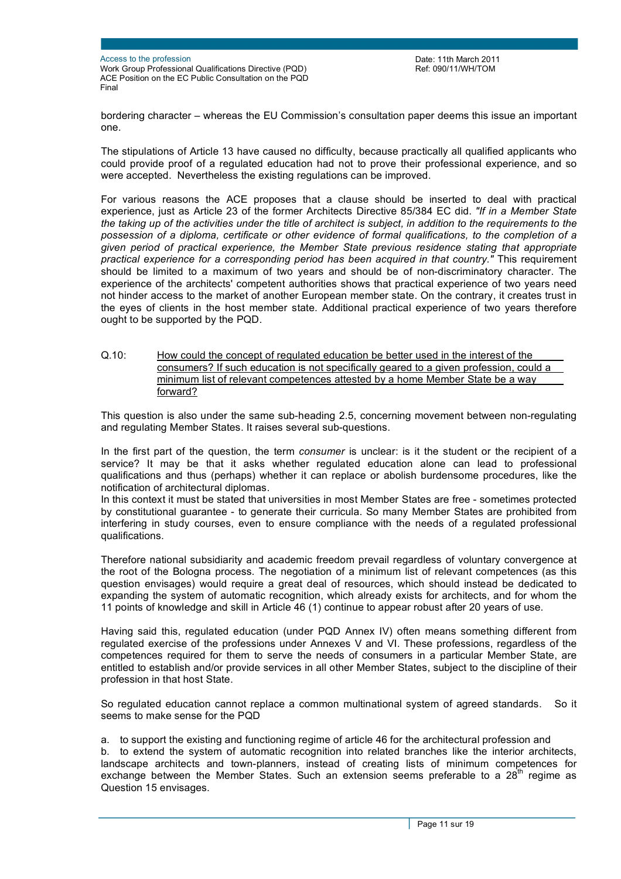bordering character – whereas the EU Commission's consultation paper deems this issue an important one.

The stipulations of Article 13 have caused no difficulty, because practically all qualified applicants who could provide proof of a regulated education had not to prove their professional experience, and so were accepted. Nevertheless the existing regulations can be improved.

For various reasons the ACE proposes that a clause should be inserted to deal with practical experience, just as Article 23 of the former Architects Directive 85/384 EC did. *"If in a Member State*  the taking up of the activities under the title of architect is subject, in addition to the requirements to the *possession of a diploma, certificate or other evidence of formal qualifications, to the completion of a given period of practical experience, the Member State previous residence stating that appropriate practical experience for a corresponding period has been acquired in that country."* This requirement should be limited to a maximum of two years and should be of non-discriminatory character. The experience of the architects' competent authorities shows that practical experience of two years need not hinder access to the market of another European member state. On the contrary, it creates trust in the eyes of clients in the host member state. Additional practical experience of two years therefore ought to be supported by the PQD.

Q.10: How could the concept of regulated education be better used in the interest of the consumers? If such education is not specifically geared to a given profession, could a minimum list of relevant competences attested by a home Member State be a way forward?

This question is also under the same sub-heading 2.5, concerning movement between non-regulating and regulating Member States. It raises several sub-questions.

In the first part of the question, the term *consumer* is unclear: is it the student or the recipient of a service? It may be that it asks whether regulated education alone can lead to professional qualifications and thus (perhaps) whether it can replace or abolish burdensome procedures, like the notification of architectural diplomas.

In this context it must be stated that universities in most Member States are free - sometimes protected by constitutional guarantee - to generate their curricula. So many Member States are prohibited from interfering in study courses, even to ensure compliance with the needs of a regulated professional qualifications.

Therefore national subsidiarity and academic freedom prevail regardless of voluntary convergence at the root of the Bologna process. The negotiation of a minimum list of relevant competences (as this question envisages) would require a great deal of resources, which should instead be dedicated to expanding the system of automatic recognition, which already exists for architects, and for whom the 11 points of knowledge and skill in Article 46 (1) continue to appear robust after 20 years of use.

Having said this, regulated education (under PQD Annex IV) often means something different from regulated exercise of the professions under Annexes V and VI. These professions, regardless of the competences required for them to serve the needs of consumers in a particular Member State, are entitled to establish and/or provide services in all other Member States, subject to the discipline of their profession in that host State.

So regulated education cannot replace a common multinational system of agreed standards. So it seems to make sense for the PQD

a. to support the existing and functioning regime of article 46 for the architectural profession and b. to extend the system of automatic recognition into related branches like the interior architects, landscape architects and town-planners, instead of creating lists of minimum competences for

exchange between the Member States. Such an extension seems preferable to a  $28<sup>th</sup>$  regime as Question 15 envisages.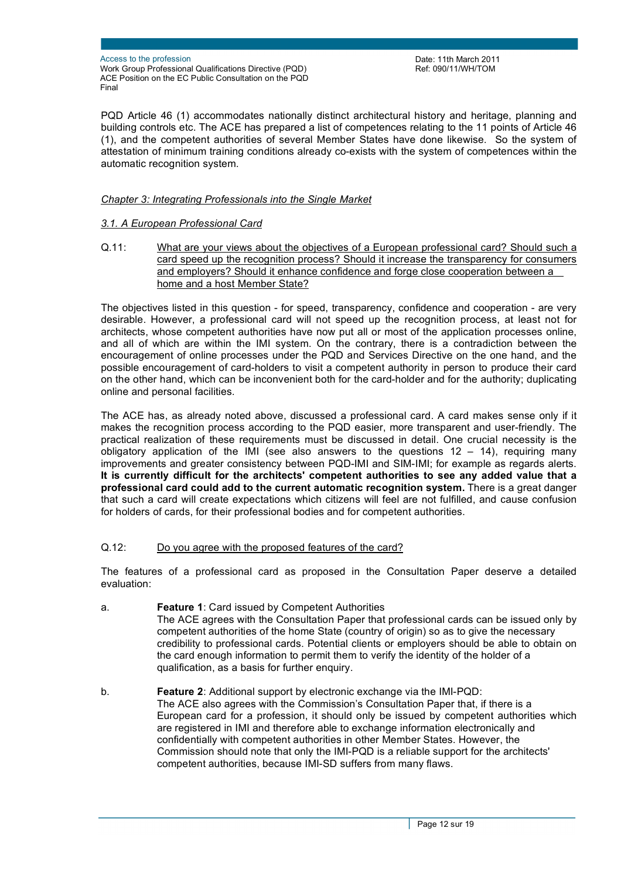Date: 11th March 2011 Ref: 090/11/WH/TOM

PQD Article 46 (1) accommodates nationally distinct architectural history and heritage, planning and building controls etc. The ACE has prepared a list of competences relating to the 11 points of Article 46 (1), and the competent authorities of several Member States have done likewise. So the system of attestation of minimum training conditions already co-exists with the system of competences within the automatic recognition system.

### *Chapter 3: Integrating Professionals into the Single Market*

#### *3.1. A European Professional Card*

Q.11: What are your views about the objectives of a European professional card? Should such a card speed up the recognition process? Should it increase the transparency for consumers and employers? Should it enhance confidence and forge close cooperation between a home and a host Member State?

The objectives listed in this question - for speed, transparency, confidence and cooperation - are very desirable. However, a professional card will not speed up the recognition process, at least not for architects, whose competent authorities have now put all or most of the application processes online, and all of which are within the IMI system. On the contrary, there is a contradiction between the encouragement of online processes under the PQD and Services Directive on the one hand, and the possible encouragement of card-holders to visit a competent authority in person to produce their card on the other hand, which can be inconvenient both for the card-holder and for the authority; duplicating online and personal facilities.

The ACE has, as already noted above, discussed a professional card. A card makes sense only if it makes the recognition process according to the PQD easier, more transparent and user-friendly. The practical realization of these requirements must be discussed in detail. One crucial necessity is the obligatory application of the IMI (see also answers to the questions  $12 - 14$ ), requiring many improvements and greater consistency between PQD-IMI and SIM-IMI; for example as regards alerts. **It is currently difficult for the architects' competent authorities to see any added value that a professional card could add to the current automatic recognition system.** There is a great danger that such a card will create expectations which citizens will feel are not fulfilled, and cause confusion for holders of cards, for their professional bodies and for competent authorities.

### Q.12: Do you agree with the proposed features of the card?

The features of a professional card as proposed in the Consultation Paper deserve a detailed evaluation:

- a. **Feature 1**: Card issued by Competent Authorities The ACE agrees with the Consultation Paper that professional cards can be issued only by competent authorities of the home State (country of origin) so as to give the necessary credibility to professional cards. Potential clients or employers should be able to obtain on the card enough information to permit them to verify the identity of the holder of a qualification, as a basis for further enquiry.
- b. **Feature 2**: Additional support by electronic exchange via the IMI-PQD: The ACE also agrees with the Commission's Consultation Paper that, if there is a European card for a profession, it should only be issued by competent authorities which are registered in IMI and therefore able to exchange information electronically and confidentially with competent authorities in other Member States. However, the Commission should note that only the IMI-PQD is a reliable support for the architects' competent authorities, because IMI-SD suffers from many flaws.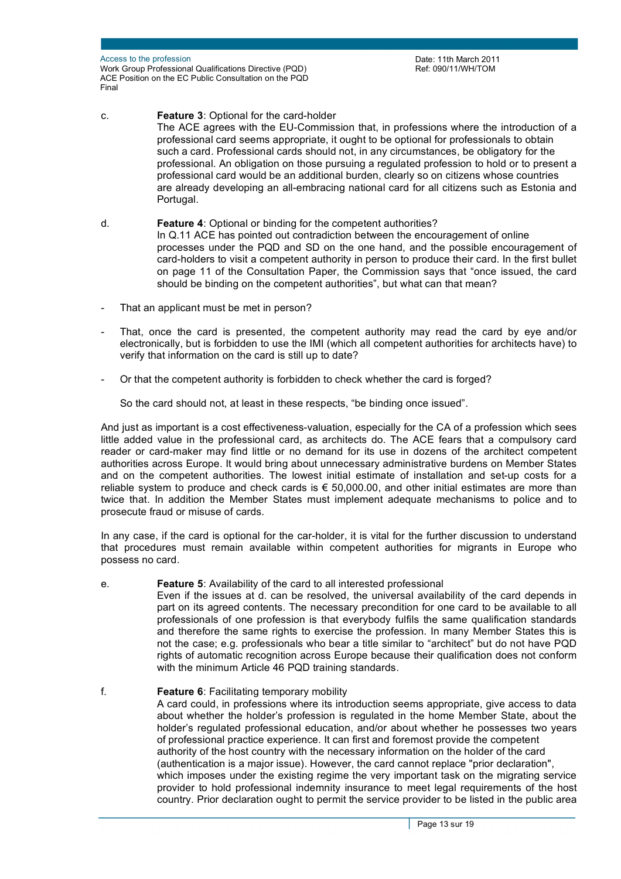c. **Feature 3**: Optional for the card-holder The ACE agrees with the EU-Commission that, in professions where the introduction of a professional card seems appropriate, it ought to be optional for professionals to obtain such a card. Professional cards should not, in any circumstances, be obligatory for the professional. An obligation on those pursuing a regulated profession to hold or to present a professional card would be an additional burden, clearly so on citizens whose countries are already developing an all-embracing national card for all citizens such as Estonia and Portugal.

- d. **Feature 4**: Optional or binding for the competent authorities? In Q.11 ACE has pointed out contradiction between the encouragement of online processes under the PQD and SD on the one hand, and the possible encouragement of card-holders to visit a competent authority in person to produce their card. In the first bullet on page 11 of the Consultation Paper, the Commission says that "once issued, the card should be binding on the competent authorities", but what can that mean?
- That an applicant must be met in person?
- That, once the card is presented, the competent authority may read the card by eye and/or electronically, but is forbidden to use the IMI (which all competent authorities for architects have) to verify that information on the card is still up to date?
- Or that the competent authority is forbidden to check whether the card is forged?

So the card should not, at least in these respects, "be binding once issued".

And just as important is a cost effectiveness-valuation, especially for the CA of a profession which sees little added value in the professional card, as architects do. The ACE fears that a compulsory card reader or card-maker may find little or no demand for its use in dozens of the architect competent authorities across Europe. It would bring about unnecessary administrative burdens on Member States and on the competent authorities. The lowest initial estimate of installation and set-up costs for a reliable system to produce and check cards is  $\epsilon$  50,000.00, and other initial estimates are more than twice that. In addition the Member States must implement adequate mechanisms to police and to prosecute fraud or misuse of cards.

In any case, if the card is optional for the car-holder, it is vital for the further discussion to understand that procedures must remain available within competent authorities for migrants in Europe who possess no card.

#### e. **Feature 5**: Availability of the card to all interested professional

Even if the issues at d. can be resolved, the universal availability of the card depends in part on its agreed contents. The necessary precondition for one card to be available to all professionals of one profession is that everybody fulfils the same qualification standards and therefore the same rights to exercise the profession. In many Member States this is not the case; e.g. professionals who bear a title similar to "architect" but do not have PQD rights of automatic recognition across Europe because their qualification does not conform with the minimum Article 46 PQD training standards.

#### f. **Feature 6**: Facilitating temporary mobility A card could, in professions where its introduction seems appropriate, give access to data about whether the holder's profession is regulated in the home Member State, about the holder's regulated professional education, and/or about whether he possesses two years of professional practice experience. It can first and foremost provide the competent authority of the host country with the necessary information on the holder of the card (authentication is a major issue). However, the card cannot replace "prior declaration", which imposes under the existing regime the very important task on the migrating service provider to hold professional indemnity insurance to meet legal requirements of the host country. Prior declaration ought to permit the service provider to be listed in the public area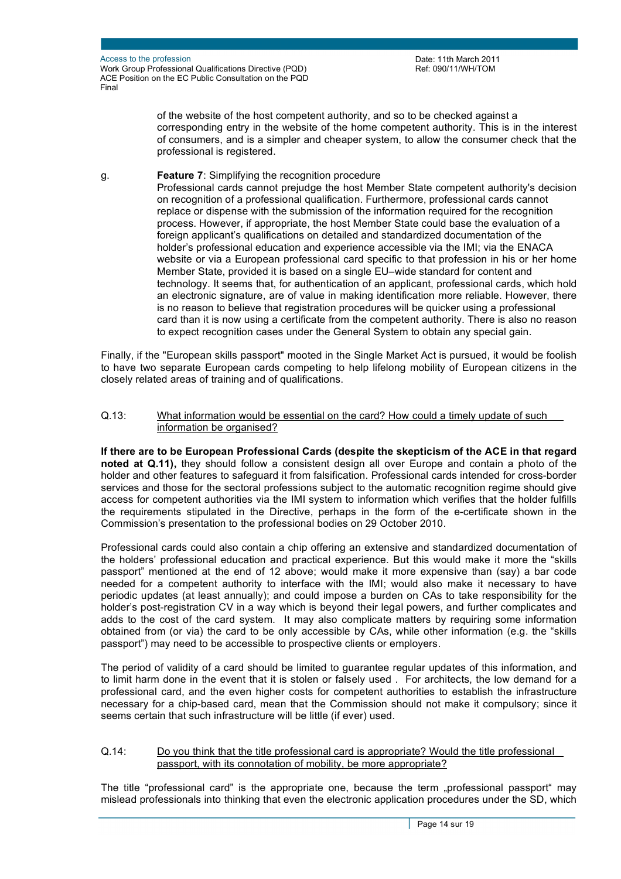of the website of the host competent authority, and so to be checked against a corresponding entry in the website of the home competent authority. This is in the interest of consumers, and is a simpler and cheaper system, to allow the consumer check that the professional is registered.

g. **Feature 7**: Simplifying the recognition procedure

Professional cards cannot prejudge the host Member State competent authority's decision on recognition of a professional qualification. Furthermore, professional cards cannot replace or dispense with the submission of the information required for the recognition process. However, if appropriate, the host Member State could base the evaluation of a foreign applicant's qualifications on detailed and standardized documentation of the holder's professional education and experience accessible via the IMI; via the ENACA website or via a European professional card specific to that profession in his or her home Member State, provided it is based on a single EU–wide standard for content and technology. It seems that, for authentication of an applicant, professional cards, which hold an electronic signature, are of value in making identification more reliable. However, there is no reason to believe that registration procedures will be quicker using a professional card than it is now using a certificate from the competent authority. There is also no reason to expect recognition cases under the General System to obtain any special gain.

Finally, if the "European skills passport" mooted in the Single Market Act is pursued, it would be foolish to have two separate European cards competing to help lifelong mobility of European citizens in the closely related areas of training and of qualifications.

### Q.13: What information would be essential on the card? How could a timely update of such information be organised?

**If there are to be European Professional Cards (despite the skepticism of the ACE in that regard noted at Q.11),** they should follow a consistent design all over Europe and contain a photo of the holder and other features to safeguard it from falsification. Professional cards intended for cross-border services and those for the sectoral professions subject to the automatic recognition regime should give access for competent authorities via the IMI system to information which verifies that the holder fulfills the requirements stipulated in the Directive, perhaps in the form of the e-certificate shown in the Commission's presentation to the professional bodies on 29 October 2010.

Professional cards could also contain a chip offering an extensive and standardized documentation of the holders' professional education and practical experience. But this would make it more the "skills passport" mentioned at the end of 12 above; would make it more expensive than (say) a bar code needed for a competent authority to interface with the IMI; would also make it necessary to have periodic updates (at least annually); and could impose a burden on CAs to take responsibility for the holder's post-registration CV in a way which is beyond their legal powers, and further complicates and adds to the cost of the card system. It may also complicate matters by requiring some information obtained from (or via) the card to be only accessible by CAs, while other information (e.g. the "skills passport") may need to be accessible to prospective clients or employers.

The period of validity of a card should be limited to guarantee regular updates of this information, and to limit harm done in the event that it is stolen or falsely used . For architects, the low demand for a professional card, and the even higher costs for competent authorities to establish the infrastructure necessary for a chip-based card, mean that the Commission should not make it compulsory; since it seems certain that such infrastructure will be little (if ever) used.

#### Q.14: Do you think that the title professional card is appropriate? Would the title professional passport, with its connotation of mobility, be more appropriate?

The title "professional card" is the appropriate one, because the term "professional passport" may mislead professionals into thinking that even the electronic application procedures under the SD, which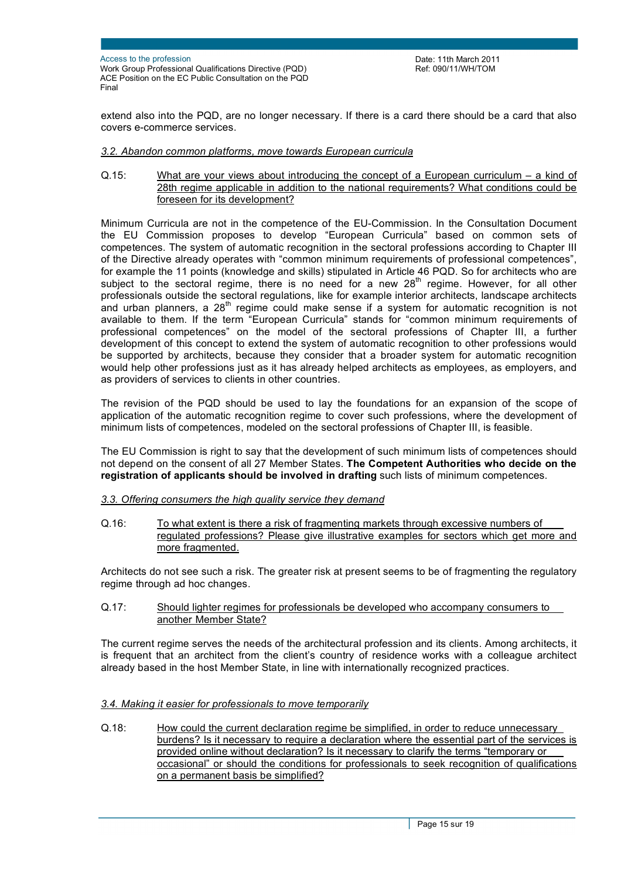extend also into the PQD, are no longer necessary. If there is a card there should be a card that also covers e-commerce services.

### *3.2. Abandon common platforms, move towards European curricula*

Q.15: What are your views about introducing the concept of a European curriculum – a kind of 28th regime applicable in addition to the national requirements? What conditions could be foreseen for its development?

Minimum Curricula are not in the competence of the EU-Commission. In the Consultation Document the EU Commission proposes to develop "European Curricula" based on common sets of competences. The system of automatic recognition in the sectoral professions according to Chapter III of the Directive already operates with "common minimum requirements of professional competences", for example the 11 points (knowledge and skills) stipulated in Article 46 PQD. So for architects who are subject to the sectoral regime, there is no need for a new  $28<sup>th</sup>$  regime. However, for all other professionals outside the sectoral regulations, like for example interior architects, landscape architects and urban planners, a  $28<sup>th</sup>$  regime could make sense if a system for automatic recognition is not available to them. If the term "European Curricula" stands for "common minimum requirements of professional competences" on the model of the sectoral professions of Chapter III, a further development of this concept to extend the system of automatic recognition to other professions would be supported by architects, because they consider that a broader system for automatic recognition would help other professions just as it has already helped architects as employees, as employers, and as providers of services to clients in other countries.

The revision of the PQD should be used to lay the foundations for an expansion of the scope of application of the automatic recognition regime to cover such professions, where the development of minimum lists of competences, modeled on the sectoral professions of Chapter III, is feasible.

The EU Commission is right to say that the development of such minimum lists of competences should not depend on the consent of all 27 Member States. **The Competent Authorities who decide on the registration of applicants should be involved in drafting** such lists of minimum competences.

#### *3.3. Offering consumers the high quality service they demand*

Q.16: To what extent is there a risk of fragmenting markets through excessive numbers of regulated professions? Please give illustrative examples for sectors which get more and more fragmented.

Architects do not see such a risk. The greater risk at present seems to be of fragmenting the regulatory regime through ad hoc changes.

Q.17: Should lighter regimes for professionals be developed who accompany consumers to another Member State?

The current regime serves the needs of the architectural profession and its clients. Among architects, it is frequent that an architect from the client's country of residence works with a colleague architect already based in the host Member State, in line with internationally recognized practices.

#### *3.4. Making it easier for professionals to move temporarily*

Q.18: How could the current declaration regime be simplified, in order to reduce unnecessary burdens? Is it necessary to require a declaration where the essential part of the services is provided online without declaration? Is it necessary to clarify the terms "temporary or occasional" or should the conditions for professionals to seek recognition of qualifications on a permanent basis be simplified?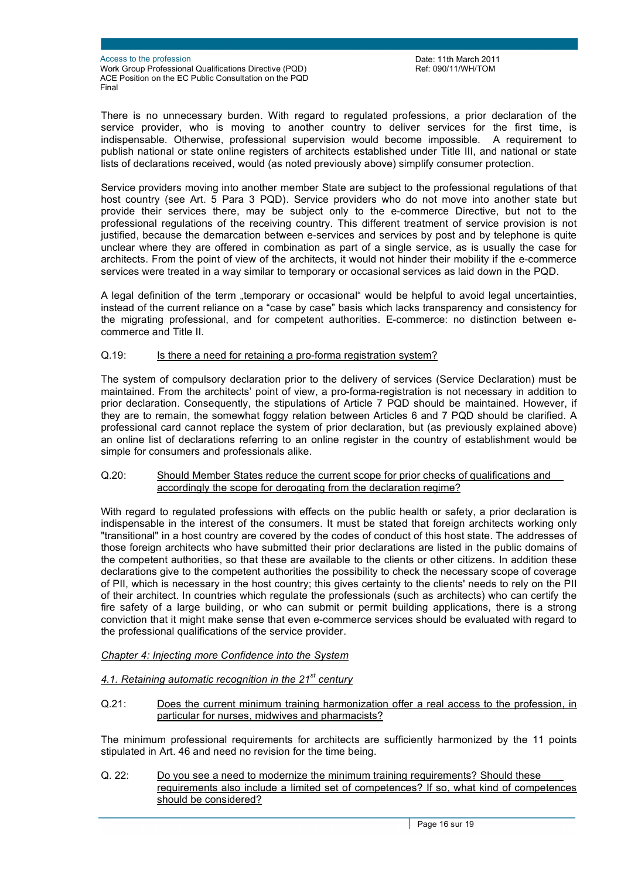Date: 11th March 2011 Ref: 090/11/WH/TOM

There is no unnecessary burden. With regard to regulated professions, a prior declaration of the service provider, who is moving to another country to deliver services for the first time, is indispensable. Otherwise, professional supervision would become impossible. A requirement to publish national or state online registers of architects established under Title III, and national or state lists of declarations received, would (as noted previously above) simplify consumer protection.

Service providers moving into another member State are subject to the professional regulations of that host country (see Art. 5 Para 3 PQD). Service providers who do not move into another state but provide their services there, may be subject only to the e-commerce Directive, but not to the professional regulations of the receiving country. This different treatment of service provision is not justified, because the demarcation between e-services and services by post and by telephone is quite unclear where they are offered in combination as part of a single service, as is usually the case for architects. From the point of view of the architects, it would not hinder their mobility if the e-commerce services were treated in a way similar to temporary or occasional services as laid down in the PQD.

A legal definition of the term "temporary or occasional" would be helpful to avoid legal uncertainties, instead of the current reliance on a "case by case" basis which lacks transparency and consistency for the migrating professional, and for competent authorities. E-commerce: no distinction between ecommerce and Title II.

### Q.19: Is there a need for retaining a pro-forma registration system?

The system of compulsory declaration prior to the delivery of services (Service Declaration) must be maintained. From the architects' point of view, a pro-forma-registration is not necessary in addition to prior declaration. Consequently, the stipulations of Article 7 PQD should be maintained. However, if they are to remain, the somewhat foggy relation between Articles 6 and 7 PQD should be clarified. A professional card cannot replace the system of prior declaration, but (as previously explained above) an online list of declarations referring to an online register in the country of establishment would be simple for consumers and professionals alike.

#### Q.20: Should Member States reduce the current scope for prior checks of qualifications and accordingly the scope for derogating from the declaration regime?

With regard to regulated professions with effects on the public health or safety, a prior declaration is indispensable in the interest of the consumers. It must be stated that foreign architects working only "transitional" in a host country are covered by the codes of conduct of this host state. The addresses of those foreign architects who have submitted their prior declarations are listed in the public domains of the competent authorities, so that these are available to the clients or other citizens. In addition these declarations give to the competent authorities the possibility to check the necessary scope of coverage of PII, which is necessary in the host country; this gives certainty to the clients' needs to rely on the PII of their architect. In countries which regulate the professionals (such as architects) who can certify the fire safety of a large building, or who can submit or permit building applications, there is a strong conviction that it might make sense that even e-commerce services should be evaluated with regard to the professional qualifications of the service provider.

#### *Chapter 4: Injecting more Confidence into the System*

# *4.1. Retaining automatic recognition in the 21st century*

Q.21: Does the current minimum training harmonization offer a real access to the profession, in particular for nurses, midwives and pharmacists?

The minimum professional requirements for architects are sufficiently harmonized by the 11 points stipulated in Art. 46 and need no revision for the time being.

Q. 22: Do you see a need to modernize the minimum training requirements? Should these requirements also include a limited set of competences? If so, what kind of competences should be considered?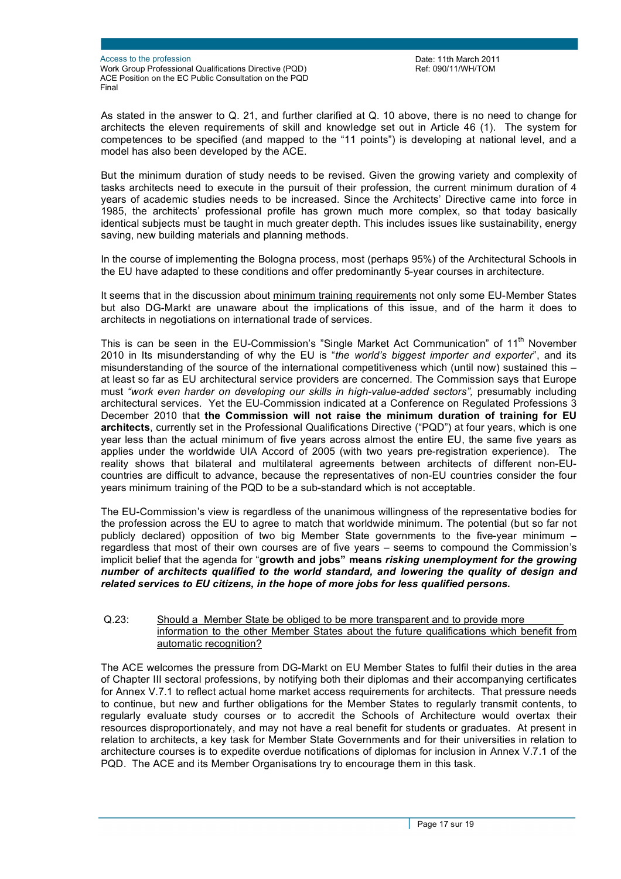Date: 11th March 2011 Ref: 090/11/WH/TOM

As stated in the answer to Q. 21, and further clarified at Q. 10 above, there is no need to change for architects the eleven requirements of skill and knowledge set out in Article 46 (1). The system for competences to be specified (and mapped to the "11 points") is developing at national level, and a model has also been developed by the ACE.

But the minimum duration of study needs to be revised. Given the growing variety and complexity of tasks architects need to execute in the pursuit of their profession, the current minimum duration of 4 years of academic studies needs to be increased. Since the Architects' Directive came into force in 1985, the architects' professional profile has grown much more complex, so that today basically identical subjects must be taught in much greater depth. This includes issues like sustainability, energy saving, new building materials and planning methods.

In the course of implementing the Bologna process, most (perhaps 95%) of the Architectural Schools in the EU have adapted to these conditions and offer predominantly 5-year courses in architecture.

It seems that in the discussion about minimum training requirements not only some EU-Member States but also DG-Markt are unaware about the implications of this issue, and of the harm it does to architects in negotiations on international trade of services.

This is can be seen in the EU-Commission's "Single Market Act Communication" of 11<sup>th</sup> November 2010 in Its misunderstanding of why the EU is "*the world's biggest importer and exporter*", and its misunderstanding of the source of the international competitiveness which (until now) sustained this – at least so far as EU architectural service providers are concerned. The Commission says that Europe must *"work even harder on developing our skills in high-value-added sectors",* presumably including architectural services. Yet the EU-Commission indicated at a Conference on Regulated Professions 3 December 2010 that **the Commission will not raise the minimum duration of training for EU architects**, currently set in the Professional Qualifications Directive ("PQD") at four years, which is one year less than the actual minimum of five years across almost the entire EU, the same five years as applies under the worldwide UIA Accord of 2005 (with two years pre-registration experience). The reality shows that bilateral and multilateral agreements between architects of different non-EUcountries are difficult to advance, because the representatives of non-EU countries consider the four years minimum training of the PQD to be a sub-standard which is not acceptable.

The EU-Commission's view is regardless of the unanimous willingness of the representative bodies for the profession across the EU to agree to match that worldwide minimum. The potential (but so far not publicly declared) opposition of two big Member State governments to the five-year minimum – regardless that most of their own courses are of five years – seems to compound the Commission's implicit belief that the agenda for "**growth and jobs" means** *risking unemployment for the growing number of architects qualified to the world standard, and lowering the quality of design and related services to EU citizens, in the hope of more jobs for less qualified persons.*

### Q.23: Should a Member State be obliged to be more transparent and to provide more information to the other Member States about the future qualifications which benefit from automatic recognition?

The ACE welcomes the pressure from DG-Markt on EU Member States to fulfil their duties in the area of Chapter III sectoral professions, by notifying both their diplomas and their accompanying certificates for Annex V.7.1 to reflect actual home market access requirements for architects. That pressure needs to continue, but new and further obligations for the Member States to regularly transmit contents, to regularly evaluate study courses or to accredit the Schools of Architecture would overtax their resources disproportionately, and may not have a real benefit for students or graduates. At present in relation to architects, a key task for Member State Governments and for their universities in relation to architecture courses is to expedite overdue notifications of diplomas for inclusion in Annex V.7.1 of the PQD. The ACE and its Member Organisations try to encourage them in this task.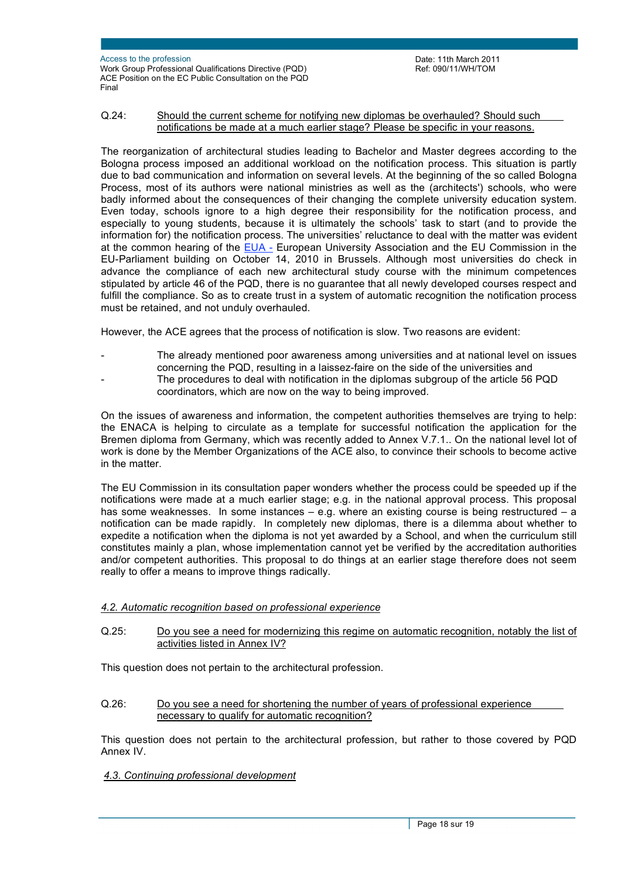### Q.24: Should the current scheme for notifying new diplomas be overhauled? Should such notifications be made at a much earlier stage? Please be specific in your reasons.

The reorganization of architectural studies leading to Bachelor and Master degrees according to the Bologna process imposed an additional workload on the notification process. This situation is partly due to bad communication and information on several levels. At the beginning of the so called Bologna Process, most of its authors were national ministries as well as the (architects') schools, who were badly informed about the consequences of their changing the complete university education system. Even today, schools ignore to a high degree their responsibility for the notification process, and especially to young students, because it is ultimately the schools' task to start (and to provide the information for) the notification process. The universities' reluctance to deal with the matter was evident at the common hearing of the EUA - European University Association and the EU Commission in the EU-Parliament building on October 14, 2010 in Brussels. Although most universities do check in advance the compliance of each new architectural study course with the minimum competences stipulated by article 46 of the PQD, there is no guarantee that all newly developed courses respect and fulfill the compliance. So as to create trust in a system of automatic recognition the notification process must be retained, and not unduly overhauled.

However, the ACE agrees that the process of notification is slow. Two reasons are evident:

- The already mentioned poor awareness among universities and at national level on issues concerning the PQD, resulting in a laissez-faire on the side of the universities and The procedures to deal with notification in the diplomas subgroup of the article 56 PQD coordinators, which are now on the way to being improved.
- On the issues of awareness and information, the competent authorities themselves are trying to help: the ENACA is helping to circulate as a template for successful notification the application for the Bremen diploma from Germany, which was recently added to Annex V.7.1.. On the national level lot of work is done by the Member Organizations of the ACE also, to convince their schools to become active in the matter.

The EU Commission in its consultation paper wonders whether the process could be speeded up if the notifications were made at a much earlier stage; e.g. in the national approval process. This proposal has some weaknesses. In some instances - e.g. where an existing course is being restructured - a notification can be made rapidly. In completely new diplomas, there is a dilemma about whether to expedite a notification when the diploma is not yet awarded by a School, and when the curriculum still constitutes mainly a plan, whose implementation cannot yet be verified by the accreditation authorities and/or competent authorities. This proposal to do things at an earlier stage therefore does not seem really to offer a means to improve things radically.

## *4.2. Automatic recognition based on professional experience*

Q.25: Do you see a need for modernizing this regime on automatic recognition, notably the list of activities listed in Annex IV?

This question does not pertain to the architectural profession.

Q.26: Do you see a need for shortening the number of years of professional experience necessary to qualify for automatic recognition?

This question does not pertain to the architectural profession, but rather to those covered by PQD Annex IV.

## *4.3. Continuing professional development*